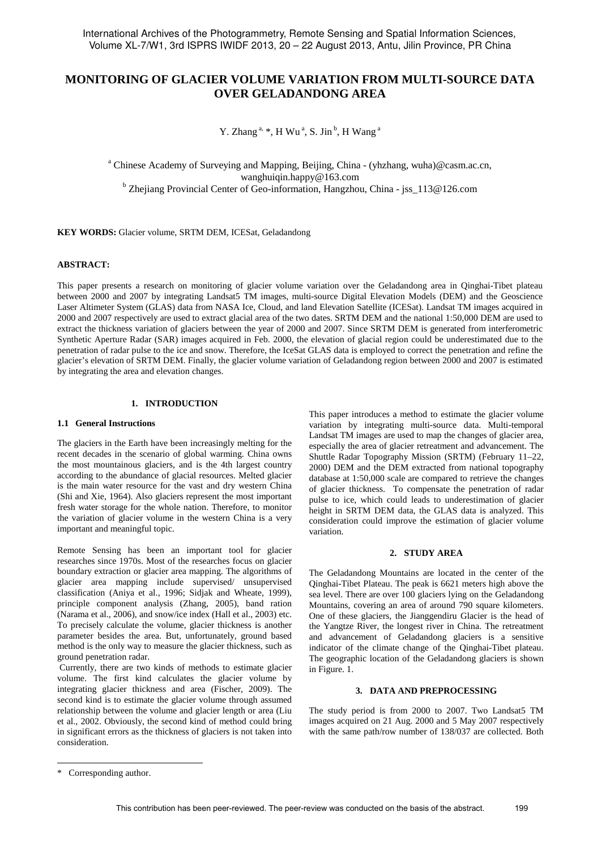# **MONITORING OF GLACIER VOLUME VARIATION FROM MULTI-SOURCE DATA OVER GELADANDONG AREA**

Y. Zhang  $a, *, H$  Wu $a, S$ . Jin  $b, H$  Wang  $a$ 

<sup>a</sup> Chinese Academy of Surveying and Mapping, Beijing, China - (yhzhang, wuha)@casm.ac.cn, wanghuiqin.happy@163.com b Zhejiang Provincial Center of Geo-information, Hangzhou, China - jss\_113@126.com

**KEY WORDS:** Glacier volume, SRTM DEM, ICESat, Geladandong

### **ABSTRACT:**

This paper presents a research on monitoring of glacier volume variation over the Geladandong area in Qinghai-Tibet plateau between 2000 and 2007 by integrating Landsat5 TM images, multi-source Digital Elevation Models (DEM) and the Geoscience Laser Altimeter System (GLAS) data from NASA Ice, Cloud, and land Elevation Satellite (ICESat). Landsat TM images acquired in 2000 and 2007 respectively are used to extract glacial area of the two dates. SRTM DEM and the national 1:50,000 DEM are used to extract the thickness variation of glaciers between the year of 2000 and 2007. Since SRTM DEM is generated from interferometric Synthetic Aperture Radar (SAR) images acquired in Feb. 2000, the elevation of glacial region could be underestimated due to the penetration of radar pulse to the ice and snow. Therefore, the IceSat GLAS data is employed to correct the penetration and refine the glacier's elevation of SRTM DEM. Finally, the glacier volume variation of Geladandong region between 2000 and 2007 is estimated by integrating the area and elevation changes.

# **1. INTRODUCTION**

#### **1.1 General Instructions**

The glaciers in the Earth have been increasingly melting for the recent decades in the scenario of global warming. China owns the most mountainous glaciers, and is the 4th largest country according to the abundance of glacial resources. Melted glacier is the main water resource for the vast and dry western China (Shi and Xie, 1964). Also glaciers represent the most important fresh water storage for the whole nation. Therefore, to monitor the variation of glacier volume in the western China is a very important and meaningful topic.

Remote Sensing has been an important tool for glacier researches since 1970s. Most of the researches focus on glacier boundary extraction or glacier area mapping. The algorithms of glacier area mapping include supervised/ unsupervised classification (Aniya et al., 1996; Sidjak and Wheate, 1999), principle component analysis (Zhang, 2005), band ration (Narama et al., 2006), and snow/ice index (Hall et al., 2003) etc. To precisely calculate the volume, glacier thickness is another parameter besides the area. But, unfortunately, ground based method is the only way to measure the glacier thickness, such as ground penetration radar.

Currently, there are two kinds of methods to estimate glacier volume. The first kind calculates the glacier volume by integrating glacier thickness and area (Fischer, 2009). The second kind is to estimate the glacier volume through assumed relationship between the volume and glacier length or area (Liu et al., 2002. Obviously, the second kind of method could bring in significant errors as the thickness of glaciers is not taken into consideration.

This paper introduces a method to estimate the glacier volume variation by integrating multi-source data. Multi-temporal Landsat TM images are used to map the changes of glacier area, especially the area of glacier retreatment and advancement. The Shuttle Radar Topography Mission (SRTM) (February 11–22, 2000) DEM and the DEM extracted from national topography database at 1:50,000 scale are compared to retrieve the changes of glacier thickness. To compensate the penetration of radar pulse to ice, which could leads to underestimation of glacier height in SRTM DEM data, the GLAS data is analyzed. This consideration could improve the estimation of glacier volume variation.

# **2. STUDY AREA**

The Geladandong Mountains are located in the center of the Qinghai-Tibet Plateau. The peak is 6621 meters high above the sea level. There are over 100 glaciers lying on the Geladandong Mountains, covering an area of around 790 square kilometers. One of these glaciers, the Jianggendiru Glacier is the head of the Yangtze River, the longest river in China. The retreatment and advancement of Geladandong glaciers is a sensitive indicator of the climate change of the Qinghai-Tibet plateau. The geographic location of the Geladandong glaciers is shown in Figure. 1.

# **3. DATA AND PREPROCESSING**

The study period is from 2000 to 2007. Two Landsat5 TM images acquired on 21 Aug. 2000 and 5 May 2007 respectively with the same path/row number of 138/037 are collected. Both

 $\overline{a}$ 

<sup>\*</sup> Corresponding author.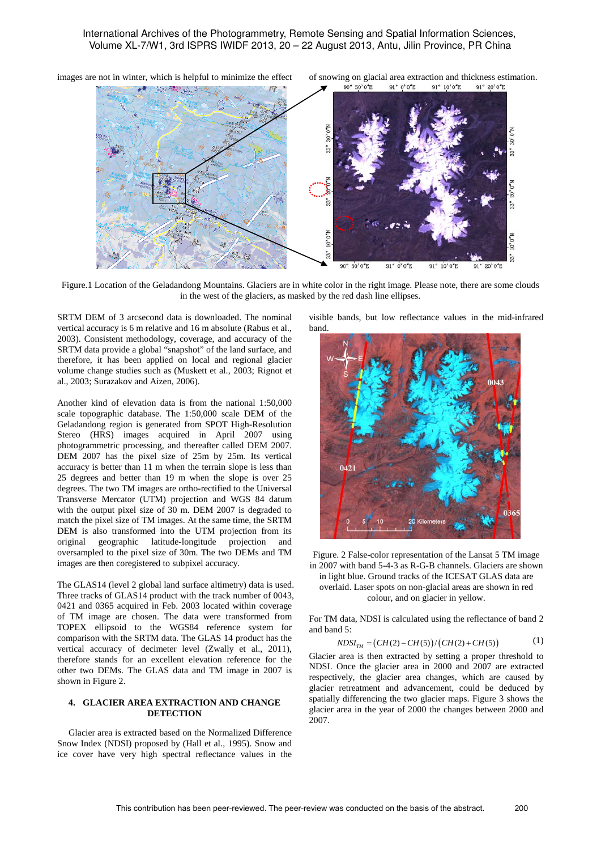

Figure.1 Location of the Geladandong Mountains. Glaciers are in white color in the right image. Please note, there are some clouds in the west of the glaciers, as masked by the red dash line ellipses.

SRTM DEM of 3 arcsecond data is downloaded. The nominal vertical accuracy is 6 m relative and 16 m absolute (Rabus et al., 2003). Consistent methodology, coverage, and accuracy of the SRTM data provide a global "snapshot" of the land surface, and therefore, it has been applied on local and regional glacier volume change studies such as (Muskett et al., 2003; Rignot et al., 2003; Surazakov and Aizen, 2006).

Another kind of elevation data is from the national 1:50,000 scale topographic database. The 1:50,000 scale DEM of the Geladandong region is generated from SPOT High-Resolution Stereo (HRS) images acquired in April 2007 using photogrammetric processing, and thereafter called DEM 2007. DEM 2007 has the pixel size of 25m by 25m. Its vertical accuracy is better than 11 m when the terrain slope is less than 25 degrees and better than 19 m when the slope is over 25 degrees. The two TM images are ortho-rectified to the Universal Transverse Mercator (UTM) projection and WGS 84 datum with the output pixel size of 30 m. DEM 2007 is degraded to match the pixel size of TM images. At the same time, the SRTM DEM is also transformed into the UTM projection from its original geographic latitude-longitude projection and oversampled to the pixel size of 30m. The two DEMs and TM images are then coregistered to subpixel accuracy.

The GLAS14 (level 2 global land surface altimetry) data is used. Three tracks of GLAS14 product with the track number of 0043, 0421 and 0365 acquired in Feb. 2003 located within coverage of TM image are chosen. The data were transformed from TOPEX ellipsoid to the WGS84 reference system for comparison with the SRTM data. The GLAS 14 product has the vertical accuracy of decimeter level (Zwally et al., 2011), therefore stands for an excellent elevation reference for the other two DEMs. The GLAS data and TM image in 2007 is shown in Figure 2.

### **4. GLACIER AREA EXTRACTION AND CHANGE DETECTION**

Glacier area is extracted based on the Normalized Difference Snow Index (NDSI) proposed by (Hall et al., 1995). Snow and ice cover have very high spectral reflectance values in the visible bands, but low reflectance values in the mid-infrared band.



Figure. 2 False-color representation of the Lansat 5 TM image in 2007 with band 5-4-3 as R-G-B channels. Glaciers are shown

in light blue. Ground tracks of the ICESAT GLAS data are overlaid. Laser spots on non-glacial areas are shown in red

colour, and on glacier in yellow.

For TM data, NDSI is calculated using the reflectance of band 2 and band 5:

$$
NDSI_{TM} = (CH(2) - CH(5))/(CH(2) + CH(5))
$$
 (1)

Glacier area is then extracted by setting a proper threshold to NDSI. Once the glacier area in 2000 and 2007 are extracted respectively, the glacier area changes, which are caused by glacier retreatment and advancement, could be deduced by spatially differencing the two glacier maps. Figure 3 shows the glacier area in the year of 2000 the changes between 2000 and 2007.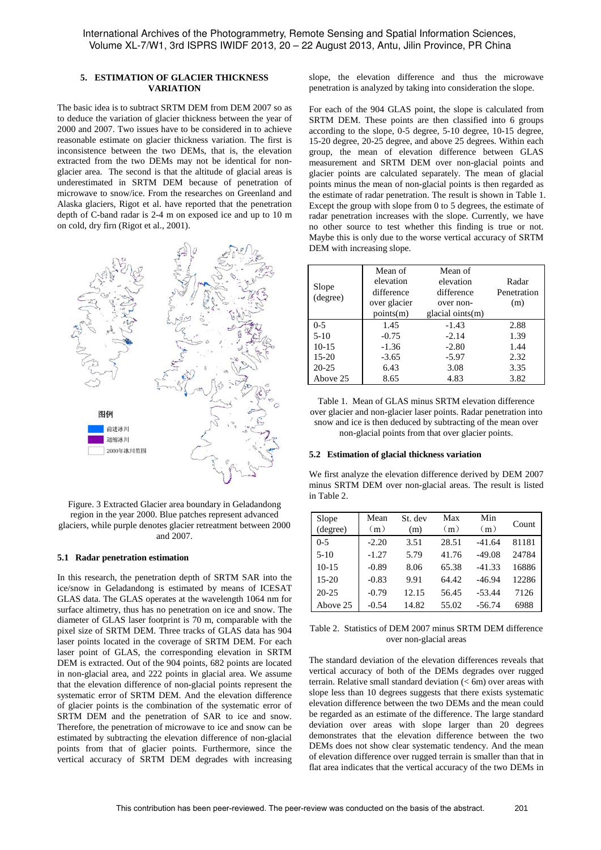# **5. ESTIMATION OF GLACIER THICKNESS VARIATION**

The basic idea is to subtract SRTM DEM from DEM 2007 so as to deduce the variation of glacier thickness between the year of 2000 and 2007. Two issues have to be considered in to achieve reasonable estimate on glacier thickness variation. The first is inconsistence between the two DEMs, that is, the elevation extracted from the two DEMs may not be identical for nonglacier area. The second is that the altitude of glacial areas is underestimated in SRTM DEM because of penetration of microwave to snow/ice. From the researches on Greenland and Alaska glaciers, Rigot et al. have reported that the penetration depth of C-band radar is 2-4 m on exposed ice and up to 10 m on cold, dry firn (Rigot et al., 2001).



Figure. 3 Extracted Glacier area boundary in Geladandong region in the year 2000. Blue patches represent advanced glaciers, while purple denotes glacier retreatment between 2000 and 2007.

#### **5.1 Radar penetration estimation**

In this research, the penetration depth of SRTM SAR into the ice/snow in Geladandong is estimated by means of ICESAT GLAS data. The GLAS operates at the wavelength 1064 nm for surface altimetry, thus has no penetration on ice and snow. The diameter of GLAS laser footprint is 70 m, comparable with the pixel size of SRTM DEM. Three tracks of GLAS data has 904 laser points located in the coverage of SRTM DEM. For each laser point of GLAS, the corresponding elevation in SRTM DEM is extracted. Out of the 904 points, 682 points are located in non-glacial area, and 222 points in glacial area. We assume that the elevation difference of non-glacial points represent the systematic error of SRTM DEM. And the elevation difference of glacier points is the combination of the systematic error of SRTM DEM and the penetration of SAR to ice and snow. Therefore, the penetration of microwave to ice and snow can be estimated by subtracting the elevation difference of non-glacial points from that of glacier points. Furthermore, since the vertical accuracy of SRTM DEM degrades with increasing

slope, the elevation difference and thus the microwave penetration is analyzed by taking into consideration the slope.

For each of the 904 GLAS point, the slope is calculated from SRTM DEM. These points are then classified into 6 groups according to the slope, 0-5 degree, 5-10 degree, 10-15 degree, 15-20 degree, 20-25 degree, and above 25 degrees. Within each group, the mean of elevation difference between GLAS measurement and SRTM DEM over non-glacial points and glacier points are calculated separately. The mean of glacial points minus the mean of non-glacial points is then regarded as the estimate of radar penetration. The result is shown in Table 1. Except the group with slope from 0 to 5 degrees, the estimate of radar penetration increases with the slope. Currently, we have no other source to test whether this finding is true or not. Maybe this is only due to the worse vertical accuracy of SRTM DEM with increasing slope.

| Slope<br>(degree) | Mean of<br>elevation<br>difference<br>over glacier<br>points(m) | Mean of<br>elevation<br>difference<br>over non-<br>glacial oints $(m)$ | Radar<br>Penetration<br>(m) |
|-------------------|-----------------------------------------------------------------|------------------------------------------------------------------------|-----------------------------|
| $0-5$             | 1.45                                                            | $-1.43$                                                                | 2.88                        |
| $5-10$            | $-0.75$                                                         | $-2.14$                                                                | 1.39                        |
| $10-15$           | $-1.36$                                                         | $-2.80$                                                                | 1.44                        |
| $15 - 20$         | $-3.65$                                                         | $-5.97$                                                                | 2.32                        |
| $20 - 25$         | 6.43                                                            | 3.08                                                                   | 3.35                        |
| Above 25          | 8.65                                                            | 4.83                                                                   | 3.82                        |

Table 1. Mean of GLAS minus SRTM elevation difference over glacier and non-glacier laser points. Radar penetration into snow and ice is then deduced by subtracting of the mean over non-glacial points from that over glacier points.

#### **5.2 Estimation of glacial thickness variation**

We first analyze the elevation difference derived by DEM 2007 minus SRTM DEM over non-glacial areas. The result is listed in Table 2.

| Slope<br>(degree) | Mean<br>(m) | St. dev<br>(m) | Max<br>(m) | Min<br>(m) | Count |
|-------------------|-------------|----------------|------------|------------|-------|
| $0-5$             | $-2.20$     | 3.51           | 28.51      | $-41.64$   | 81181 |
| $5-10$            | $-1.27$     | 5.79           | 41.76      | $-49.08$   | 24784 |
| $10 - 15$         | $-0.89$     | 8.06           | 65.38      | $-41.33$   | 16886 |
| $15-20$           | $-0.83$     | 9.91           | 64.42      | $-46.94$   | 12286 |
| $20 - 25$         | $-0.79$     | 12.15          | 56.45      | $-53.44$   | 7126  |
| Above 25          | $-0.54$     | 14.82          | 55.02      | -56.74     | 6988  |

### Table 2. Statistics of DEM 2007 minus SRTM DEM difference over non-glacial areas

The standard deviation of the elevation differences reveals that vertical accuracy of both of the DEMs degrades over rugged terrain. Relative small standard deviation (< 6m) over areas with slope less than 10 degrees suggests that there exists systematic elevation difference between the two DEMs and the mean could be regarded as an estimate of the difference. The large standard deviation over areas with slope larger than 20 degrees demonstrates that the elevation difference between the two DEMs does not show clear systematic tendency. And the mean of elevation difference over rugged terrain is smaller than that in flat area indicates that the vertical accuracy of the two DEMs in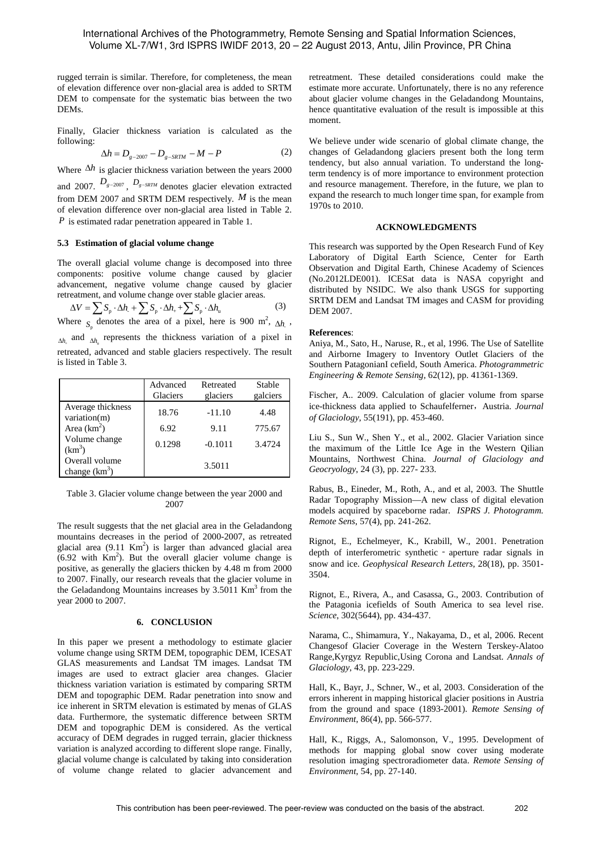rugged terrain is similar. Therefore, for completeness, the mean of elevation difference over non-glacial area is added to SRTM DEM to compensate for the systematic bias between the two DEMs.

Finally, Glacier thickness variation is calculated as the following:

$$
\Delta h = D_{g-2007} - D_{g-SRTM} - M - P \tag{2}
$$

Where ∆*h* is glacier thickness variation between the years 2000 and 2007.  $D_{g-2007}$ ,  $D_{g-SRTM}$  denotes glacier elevation extracted from DEM 2007 and SRTM DEM respectively. *M* is the mean of elevation difference over non-glacial area listed in Table 2. *P* is estimated radar penetration appeared in Table 1.

### **5.3 Estimation of glacial volume change**

The overall glacial volume change is decomposed into three components: positive volume change caused by glacier advancement, negative volume change caused by glacier retreatment, and volume change over stable glacier areas.

$$
\Delta V = \sum S_p \cdot \Delta h + \sum S_p \cdot \Delta h + \sum S_p \cdot \Delta h_u \tag{3}
$$

Where  $S_p$  denotes the area of a pixel, here is 900 m<sup>2</sup>,  $\Delta h$ <sub>1</sub>, ∆*h* and <sub>△*h*</sub> represents the thickness variation of a pixel in retreated, advanced and stable glaciers respectively. The result is listed in Table 3.

|                                     | Advanced<br>Glaciers | Retreated<br>glaciers | Stable<br>galciers |
|-------------------------------------|----------------------|-----------------------|--------------------|
| Average thickness<br>variation(m)   | 18.76                | $-11.10$              | 4.48               |
| Area $(km^2)$                       | 6.92                 | 9.11                  | 775.67             |
| Volume change<br>(km <sup>3</sup> ) | 0.1298               | $-0.1011$             | 3.4724             |
| Overall volume<br>change $(km^3)$   |                      | 3.5011                |                    |

Table 3. Glacier volume change between the year 2000 and 2007

The result suggests that the net glacial area in the Geladandong mountains decreases in the period of 2000-2007, as retreated glacial area  $(9.11 \text{ Km}^2)$  is larger than advanced glacial area  $(6.92 \text{ with } Km^2)$ . But the overall glacier volume change is positive, as generally the glaciers thicken by 4.48 m from 2000 to 2007. Finally, our research reveals that the glacier volume in the Geladandong Mountains increases by  $3.5011$  Km<sup>3</sup> from the year 2000 to 2007.

#### **6. CONCLUSION**

In this paper we present a methodology to estimate glacier volume change using SRTM DEM, topographic DEM, ICESAT GLAS measurements and Landsat TM images. Landsat TM images are used to extract glacier area changes. Glacier thickness variation variation is estimated by comparing SRTM DEM and topographic DEM. Radar penetration into snow and ice inherent in SRTM elevation is estimated by menas of GLAS data. Furthermore, the systematic difference between SRTM DEM and topographic DEM is considered. As the vertical accuracy of DEM degrades in rugged terrain, glacier thickness variation is analyzed according to different slope range. Finally, glacial volume change is calculated by taking into consideration of volume change related to glacier advancement and

retreatment. These detailed considerations could make the estimate more accurate. Unfortunately, there is no any reference about glacier volume changes in the Geladandong Mountains, hence quantitative evaluation of the result is impossible at this moment.

We believe under wide scenario of global climate change, the changes of Geladandong glaciers present both the long term tendency, but also annual variation. To understand the longterm tendency is of more importance to environment protection and resource management. Therefore, in the future, we plan to expand the research to much longer time span, for example from 1970s to 2010.

# **ACKNOWLEDGMENTS**

This research was supported by the Open Research Fund of Key Laboratory of Digital Earth Science, Center for Earth Observation and Digital Earth, Chinese Academy of Sciences (No.2012LDE001). ICESat data is NASA copyright and distributed by NSIDC. We also thank USGS for supporting SRTM DEM and Landsat TM images and CASM for providing DEM 2007.

### **References**:

Aniya, M., Sato, H., Naruse, R., et al, 1996. The Use of Satellite and Airborne Imagery to Inventory Outlet Glaciers of the Southern PatagonianI cefield, South America. *Photogrammetric Engineering & Remote Sensing,* 62(12), pp. 41361-1369.

Fischer, A.. 2009. Calculation of glacier volume from sparse ice-thickness data applied to Schaufelferner, Austria. *Journal of Glaciology*, 55(191), pp. 453-460.

Liu S., Sun W., Shen Y., et al., 2002. Glacier Variation since the maximum of the Little Ice Age in the Western Qilian Mountains, Northwest China. *Journal of Glaciology and Geocryology*, 24 (3), pp. 227- 233.

Rabus, B., Eineder, M., Roth, A., and et al, 2003. The Shuttle Radar Topography Mission—A new class of digital elevation models acquired by spaceborne radar. *ISPRS J. Photogramm. Remote Sens*, 57(4), pp. 241-262.

Rignot, E., Echelmeyer, K., Krabill, W., 2001. Penetration depth of interferometric synthetic - aperture radar signals in snow and ice. *Geophysical Research Letters*, 28(18), pp. 3501- 3504.

Rignot, E., Rivera, A., and Casassa, G., 2003. Contribution of the Patagonia icefields of South America to sea level rise. *Science*, 302(5644), pp. 434-437.

Narama, C., Shimamura, Y., Nakayama, D., et al, 2006. Recent Changesof Glacier Coverage in the Western Terskey-Alatoo Range,Kyrgyz Republic,Using Corona and Landsat. *Annals of Glaciology*, 43, pp. 223-229.

Hall, K., Bayr, J., Schner, W., et al, 2003. Consideration of the errors inherent in mapping historical glacier positions in Austria from the ground and space (1893-2001). *Remote Sensing of Environment*, 86(4), pp. 566-577.

Hall, K., Riggs, A., Salomonson, V., 1995. Development of methods for mapping global snow cover using moderate resolution imaging spectroradiometer data. *Remote Sensing of Environment*, 54, pp. 27-140.